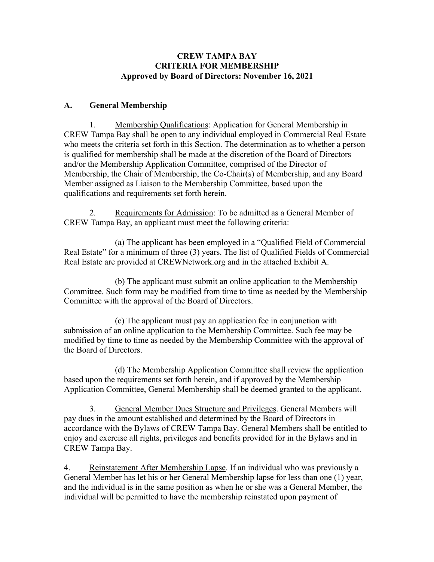#### **CREW TAMPA BAY CRITERIA FOR MEMBERSHIP Approved by Board of Directors: November 16, 2021**

#### **A. General Membership**

1. Membership Qualifications: Application for General Membership in CREW Tampa Bay shall be open to any individual employed in Commercial Real Estate who meets the criteria set forth in this Section. The determination as to whether a person is qualified for membership shall be made at the discretion of the Board of Directors and/or the Membership Application Committee, comprised of the Director of Membership, the Chair of Membership, the Co-Chair(s) of Membership, and any Board Member assigned as Liaison to the Membership Committee, based upon the qualifications and requirements set forth herein.

2. Requirements for Admission: To be admitted as a General Member of CREW Tampa Bay, an applicant must meet the following criteria:

(a) The applicant has been employed in a "Qualified Field of Commercial Real Estate" for a minimum of three (3) years. The list of Qualified Fields of Commercial Real Estate are provided at CREWNetwork.org and in the attached Exhibit A.

(b) The applicant must submit an online application to the Membership Committee. Such form may be modified from time to time as needed by the Membership Committee with the approval of the Board of Directors.

(c) The applicant must pay an application fee in conjunction with submission of an online application to the Membership Committee. Such fee may be modified by time to time as needed by the Membership Committee with the approval of the Board of Directors.

(d) The Membership Application Committee shall review the application based upon the requirements set forth herein, and if approved by the Membership Application Committee, General Membership shall be deemed granted to the applicant.

3. General Member Dues Structure and Privileges. General Members will pay dues in the amount established and determined by the Board of Directors in accordance with the Bylaws of CREW Tampa Bay. General Members shall be entitled to enjoy and exercise all rights, privileges and benefits provided for in the Bylaws and in CREW Tampa Bay.

4. Reinstatement After Membership Lapse. If an individual who was previously a General Member has let his or her General Membership lapse for less than one (1) year, and the individual is in the same position as when he or she was a General Member, the individual will be permitted to have the membership reinstated upon payment of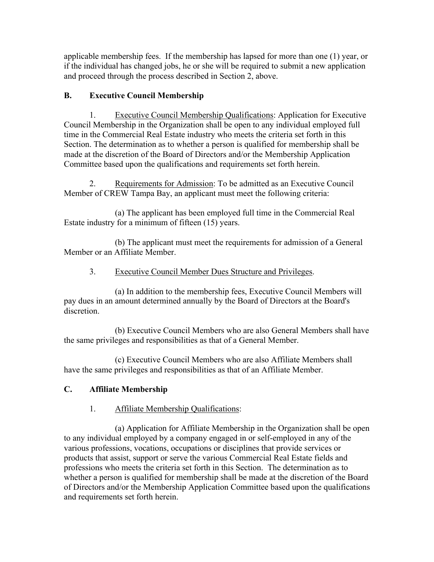applicable membership fees. If the membership has lapsed for more than one (1) year, or if the individual has changed jobs, he or she will be required to submit a new application and proceed through the process described in Section 2, above.

## **B. Executive Council Membership**

1. Executive Council Membership Qualifications: Application for Executive Council Membership in the Organization shall be open to any individual employed full time in the Commercial Real Estate industry who meets the criteria set forth in this Section. The determination as to whether a person is qualified for membership shall be made at the discretion of the Board of Directors and/or the Membership Application Committee based upon the qualifications and requirements set forth herein.

2. Requirements for Admission: To be admitted as an Executive Council Member of CREW Tampa Bay, an applicant must meet the following criteria:

(a) The applicant has been employed full time in the Commercial Real Estate industry for a minimum of fifteen (15) years.

(b) The applicant must meet the requirements for admission of a General Member or an Affiliate Member.

### 3. Executive Council Member Dues Structure and Privileges.

(a) In addition to the membership fees, Executive Council Members will pay dues in an amount determined annually by the Board of Directors at the Board's discretion.

(b) Executive Council Members who are also General Members shall have the same privileges and responsibilities as that of a General Member.

(c) Executive Council Members who are also Affiliate Members shall have the same privileges and responsibilities as that of an Affiliate Member.

## **C. Affiliate Membership**

#### 1. Affiliate Membership Qualifications:

(a) Application for Affiliate Membership in the Organization shall be open to any individual employed by a company engaged in or self-employed in any of the various professions, vocations, occupations or disciplines that provide services or products that assist, support or serve the various Commercial Real Estate fields and professions who meets the criteria set forth in this Section. The determination as to whether a person is qualified for membership shall be made at the discretion of the Board of Directors and/or the Membership Application Committee based upon the qualifications and requirements set forth herein.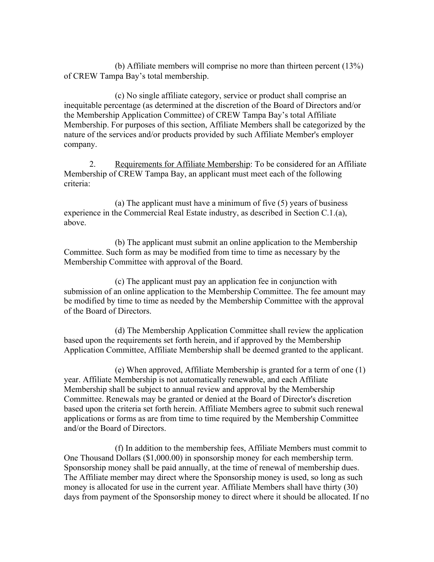(b) Affiliate members will comprise no more than thirteen percent (13%) of CREW Tampa Bay's total membership.

(c) No single affiliate category, service or product shall comprise an inequitable percentage (as determined at the discretion of the Board of Directors and/or the Membership Application Committee) of CREW Tampa Bay's total Affiliate Membership. For purposes of this section, Affiliate Members shall be categorized by the nature of the services and/or products provided by such Affiliate Member's employer company.

2. Requirements for Affiliate Membership: To be considered for an Affiliate Membership of CREW Tampa Bay, an applicant must meet each of the following criteria:

(a) The applicant must have a minimum of five (5) years of business experience in the Commercial Real Estate industry, as described in Section C.1.(a), above.

(b) The applicant must submit an online application to the Membership Committee. Such form as may be modified from time to time as necessary by the Membership Committee with approval of the Board.

(c) The applicant must pay an application fee in conjunction with submission of an online application to the Membership Committee. The fee amount may be modified by time to time as needed by the Membership Committee with the approval of the Board of Directors.

(d) The Membership Application Committee shall review the application based upon the requirements set forth herein, and if approved by the Membership Application Committee, Affiliate Membership shall be deemed granted to the applicant.

(e) When approved, Affiliate Membership is granted for a term of one (1) year. Affiliate Membership is not automatically renewable, and each Affiliate Membership shall be subject to annual review and approval by the Membership Committee. Renewals may be granted or denied at the Board of Director's discretion based upon the criteria set forth herein. Affiliate Members agree to submit such renewal applications or forms as are from time to time required by the Membership Committee and/or the Board of Directors.

(f) In addition to the membership fees, Affiliate Members must commit to One Thousand Dollars (\$1,000.00) in sponsorship money for each membership term. Sponsorship money shall be paid annually, at the time of renewal of membership dues. The Affiliate member may direct where the Sponsorship money is used, so long as such money is allocated for use in the current year. Affiliate Members shall have thirty (30) days from payment of the Sponsorship money to direct where it should be allocated. If no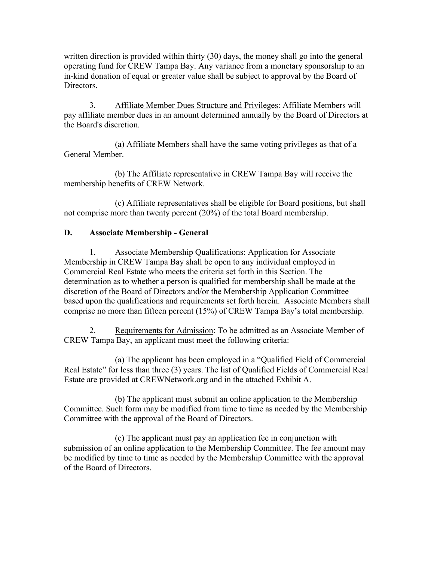written direction is provided within thirty (30) days, the money shall go into the general operating fund for CREW Tampa Bay. Any variance from a monetary sponsorship to an in-kind donation of equal or greater value shall be subject to approval by the Board of Directors.

3. Affiliate Member Dues Structure and Privileges: Affiliate Members will pay affiliate member dues in an amount determined annually by the Board of Directors at the Board's discretion.

(a) Affiliate Members shall have the same voting privileges as that of a General Member.

(b) The Affiliate representative in CREW Tampa Bay will receive the membership benefits of CREW Network.

(c) Affiliate representatives shall be eligible for Board positions, but shall not comprise more than twenty percent (20%) of the total Board membership.

#### **D. Associate Membership - General**

1. Associate Membership Qualifications: Application for Associate Membership in CREW Tampa Bay shall be open to any individual employed in Commercial Real Estate who meets the criteria set forth in this Section. The determination as to whether a person is qualified for membership shall be made at the discretion of the Board of Directors and/or the Membership Application Committee based upon the qualifications and requirements set forth herein. Associate Members shall comprise no more than fifteen percent (15%) of CREW Tampa Bay's total membership.

2. Requirements for Admission: To be admitted as an Associate Member of CREW Tampa Bay, an applicant must meet the following criteria:

(a) The applicant has been employed in a "Qualified Field of Commercial Real Estate" for less than three (3) years. The list of Qualified Fields of Commercial Real Estate are provided at CREWNetwork.org and in the attached Exhibit A.

(b) The applicant must submit an online application to the Membership Committee. Such form may be modified from time to time as needed by the Membership Committee with the approval of the Board of Directors.

(c) The applicant must pay an application fee in conjunction with submission of an online application to the Membership Committee. The fee amount may be modified by time to time as needed by the Membership Committee with the approval of the Board of Directors.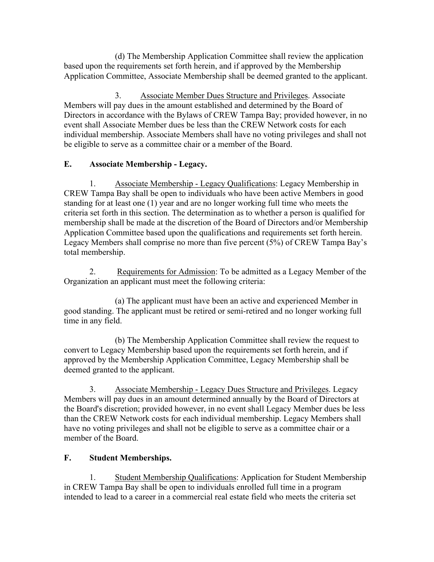(d) The Membership Application Committee shall review the application based upon the requirements set forth herein, and if approved by the Membership Application Committee, Associate Membership shall be deemed granted to the applicant.

3. Associate Member Dues Structure and Privileges. Associate Members will pay dues in the amount established and determined by the Board of Directors in accordance with the Bylaws of CREW Tampa Bay; provided however, in no event shall Associate Member dues be less than the CREW Network costs for each individual membership. Associate Members shall have no voting privileges and shall not be eligible to serve as a committee chair or a member of the Board.

## **E. Associate Membership - Legacy.**

1. Associate Membership - Legacy Qualifications: Legacy Membership in CREW Tampa Bay shall be open to individuals who have been active Members in good standing for at least one (1) year and are no longer working full time who meets the criteria set forth in this section. The determination as to whether a person is qualified for membership shall be made at the discretion of the Board of Directors and/or Membership Application Committee based upon the qualifications and requirements set forth herein. Legacy Members shall comprise no more than five percent (5%) of CREW Tampa Bay's total membership.

2. Requirements for Admission: To be admitted as a Legacy Member of the Organization an applicant must meet the following criteria:

(a) The applicant must have been an active and experienced Member in good standing. The applicant must be retired or semi-retired and no longer working full time in any field.

(b) The Membership Application Committee shall review the request to convert to Legacy Membership based upon the requirements set forth herein, and if approved by the Membership Application Committee, Legacy Membership shall be deemed granted to the applicant.

3. Associate Membership - Legacy Dues Structure and Privileges. Legacy Members will pay dues in an amount determined annually by the Board of Directors at the Board's discretion; provided however, in no event shall Legacy Member dues be less than the CREW Network costs for each individual membership. Legacy Members shall have no voting privileges and shall not be eligible to serve as a committee chair or a member of the Board.

# **F. Student Memberships.**

1. Student Membership Qualifications: Application for Student Membership in CREW Tampa Bay shall be open to individuals enrolled full time in a program intended to lead to a career in a commercial real estate field who meets the criteria set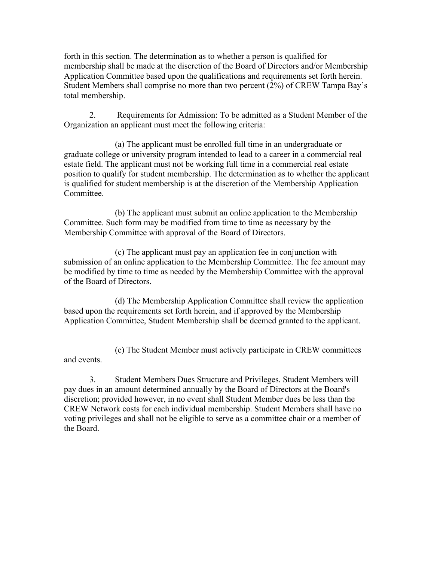forth in this section. The determination as to whether a person is qualified for membership shall be made at the discretion of the Board of Directors and/or Membership Application Committee based upon the qualifications and requirements set forth herein. Student Members shall comprise no more than two percent (2%) of CREW Tampa Bay's total membership.

2. Requirements for Admission: To be admitted as a Student Member of the Organization an applicant must meet the following criteria:

(a) The applicant must be enrolled full time in an undergraduate or graduate college or university program intended to lead to a career in a commercial real estate field. The applicant must not be working full time in a commercial real estate position to qualify for student membership. The determination as to whether the applicant is qualified for student membership is at the discretion of the Membership Application Committee.

(b) The applicant must submit an online application to the Membership Committee. Such form may be modified from time to time as necessary by the Membership Committee with approval of the Board of Directors.

(c) The applicant must pay an application fee in conjunction with submission of an online application to the Membership Committee. The fee amount may be modified by time to time as needed by the Membership Committee with the approval of the Board of Directors.

(d) The Membership Application Committee shall review the application based upon the requirements set forth herein, and if approved by the Membership Application Committee, Student Membership shall be deemed granted to the applicant.

(e) The Student Member must actively participate in CREW committees and events.

3. Student Members Dues Structure and Privileges. Student Members will pay dues in an amount determined annually by the Board of Directors at the Board's discretion; provided however, in no event shall Student Member dues be less than the CREW Network costs for each individual membership. Student Members shall have no voting privileges and shall not be eligible to serve as a committee chair or a member of the Board.